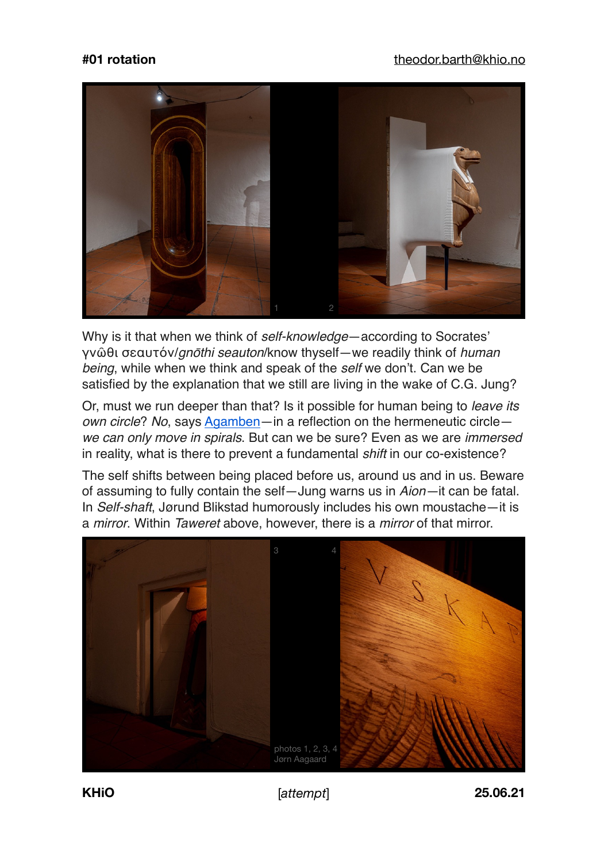## **#01 rotation** [theodor.barth@khio.no](mailto:theodor.barth@khio.no)



Why is it that when we think of *self-knowledge*—according to Socrates' γνῶθι σεαυτόν/*gn*ō*thi seauton*/know thyself—we readily think of *human being*, while when we think and speak of the *self* we don't. Can we be satisfied by the explanation that we still are living in the wake of C.G. Jung?

Or, must we run deeper than that? Is it possible for human being to *leave its own circle*? *No*, says [Agamben—](https://svbedu.files.wordpress.com/2013/12/giorgio-agamben-warburg-nameless-science1.pdf)in a reflection on the hermeneutic circle *we can only move in spirals*. But can we be sure? Even as we are *immersed* in reality, what is there to prevent a fundamental *shift* in our co-existence?

The self shifts between being placed before us, around us and in us. Beware of assuming to fully contain the self—Jung warns us in *Aion—*it can be fatal. In *Self-shaft*, Jørund Blikstad humorously includes his own moustache—it is a *mirror*. Within *Taweret* above, however, there is a *mirror* of that mirror.